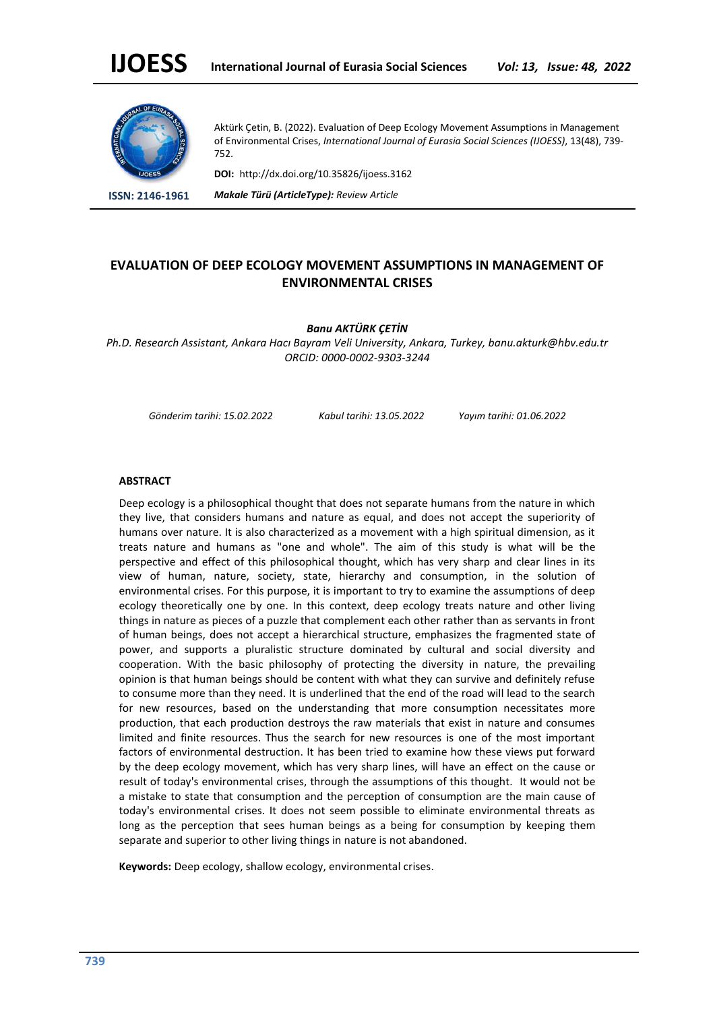

Aktürk Çetin, B. (2022). Evaluation of Deep Ecology Movement Assumptions in Management of Environmental Crises, *International Journal of Eurasia Social Sciences (IJOESS)*, 13(48), 739- 752.

**DOI:** http://dx.doi.org/10.35826/ijoess.3162

**ISSN: 2146-1961** *Makale Türü (ArticleType): Review Article*

# **EVALUATION OF DEEP ECOLOGY MOVEMENT ASSUMPTIONS IN MANAGEMENT OF ENVIRONMENTAL CRISES**

# *Banu AKTÜRK ÇETİN*

*Ph.D. Research Assistant, Ankara Hacı Bayram Veli University, Ankara, Turkey, banu.akturk@hbv.edu.tr ORCID: 0000-0002-9303-3244*

*Gönderim tarihi: 15.02.2022 Kabul tarihi: 13.05.2022 Yayım tarihi: 01.06.2022*

# **ABSTRACT**

Deep ecology is a philosophical thought that does not separate humans from the nature in which they live, that considers humans and nature as equal, and does not accept the superiority of humans over nature. It is also characterized as a movement with a high spiritual dimension, as it treats nature and humans as "one and whole". The aim of this study is what will be the perspective and effect of this philosophical thought, which has very sharp and clear lines in its view of human, nature, society, state, hierarchy and consumption, in the solution of environmental crises. For this purpose, it is important to try to examine the assumptions of deep ecology theoretically one by one. In this context, deep ecology treats nature and other living things in nature as pieces of a puzzle that complement each other rather than as servants in front of human beings, does not accept a hierarchical structure, emphasizes the fragmented state of power, and supports a pluralistic structure dominated by cultural and social diversity and cooperation. With the basic philosophy of protecting the diversity in nature, the prevailing opinion is that human beings should be content with what they can survive and definitely refuse to consume more than they need. It is underlined that the end of the road will lead to the search for new resources, based on the understanding that more consumption necessitates more production, that each production destroys the raw materials that exist in nature and consumes limited and finite resources. Thus the search for new resources is one of the most important factors of environmental destruction. It has been tried to examine how these views put forward by the deep ecology movement, which has very sharp lines, will have an effect on the cause or result of today's environmental crises, through the assumptions of this thought. It would not be a mistake to state that consumption and the perception of consumption are the main cause of today's environmental crises. It does not seem possible to eliminate environmental threats as long as the perception that sees human beings as a being for consumption by keeping them separate and superior to other living things in nature is not abandoned.

**Keywords:** Deep ecology, shallow ecology, environmental crises.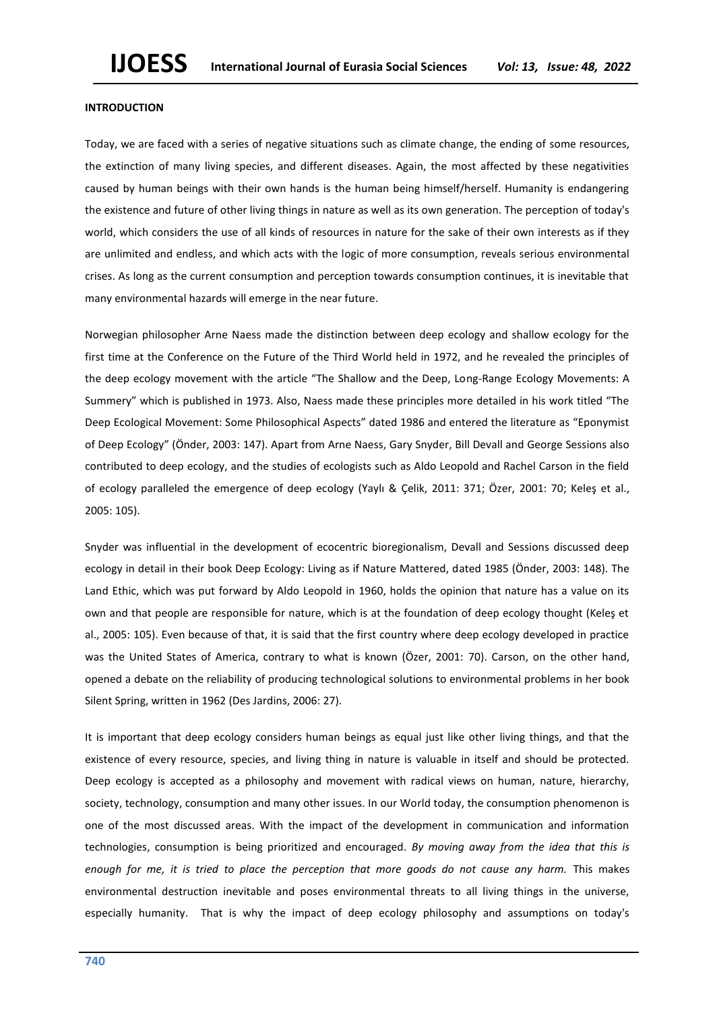# **INTRODUCTION**

Today, we are faced with a series of negative situations such as climate change, the ending of some resources, the extinction of many living species, and different diseases. Again, the most affected by these negativities caused by human beings with their own hands is the human being himself/herself. Humanity is endangering the existence and future of other living things in nature as well as its own generation. The perception of today's world, which considers the use of all kinds of resources in nature for the sake of their own interests as if they are unlimited and endless, and which acts with the logic of more consumption, reveals serious environmental crises. As long as the current consumption and perception towards consumption continues, it is inevitable that many environmental hazards will emerge in the near future.

Norwegian philosopher Arne Naess made the distinction between deep ecology and shallow ecology for the first time at the Conference on the Future of the Third World held in 1972, and he revealed the principles of the deep ecology movement with the article "The Shallow and the Deep, Long-Range Ecology Movements: A Summery" which is published in 1973. Also, Naess made these principles more detailed in his work titled "The Deep Ecological Movement: Some Philosophical Aspects" dated 1986 and entered the literature as "Eponymist of Deep Ecology" (Önder, 2003: 147). Apart from Arne Naess, Gary Snyder, Bill Devall and George Sessions also contributed to deep ecology, and the studies of ecologists such as Aldo Leopold and Rachel Carson in the field of ecology paralleled the emergence of deep ecology (Yaylı & Çelik, 2011: 371; Özer, 2001: 70; Keleş et al., 2005: 105).

Snyder was influential in the development of ecocentric bioregionalism, Devall and Sessions discussed deep ecology in detail in their book Deep Ecology: Living as if Nature Mattered, dated 1985 (Önder, 2003: 148). The Land Ethic, which was put forward by Aldo Leopold in 1960, holds the opinion that nature has a value on its own and that people are responsible for nature, which is at the foundation of deep ecology thought (Keleş et al., 2005: 105). Even because of that, it is said that the first country where deep ecology developed in practice was the United States of America, contrary to what is known (Özer, 2001: 70). Carson, on the other hand, opened a debate on the reliability of producing technological solutions to environmental problems in her book Silent Spring, written in 1962 (Des Jardins, 2006: 27).

It is important that deep ecology considers human beings as equal just like other living things, and that the existence of every resource, species, and living thing in nature is valuable in itself and should be protected. Deep ecology is accepted as a philosophy and movement with radical views on human, nature, hierarchy, society, technology, consumption and many other issues. In our World today, the consumption phenomenon is one of the most discussed areas. With the impact of the development in communication and information technologies, consumption is being prioritized and encouraged. *By moving away from the idea that this is enough for me, it is tried to place the perception that more goods do not cause any harm.* This makes environmental destruction inevitable and poses environmental threats to all living things in the universe, especially humanity. That is why the impact of deep ecology philosophy and assumptions on today's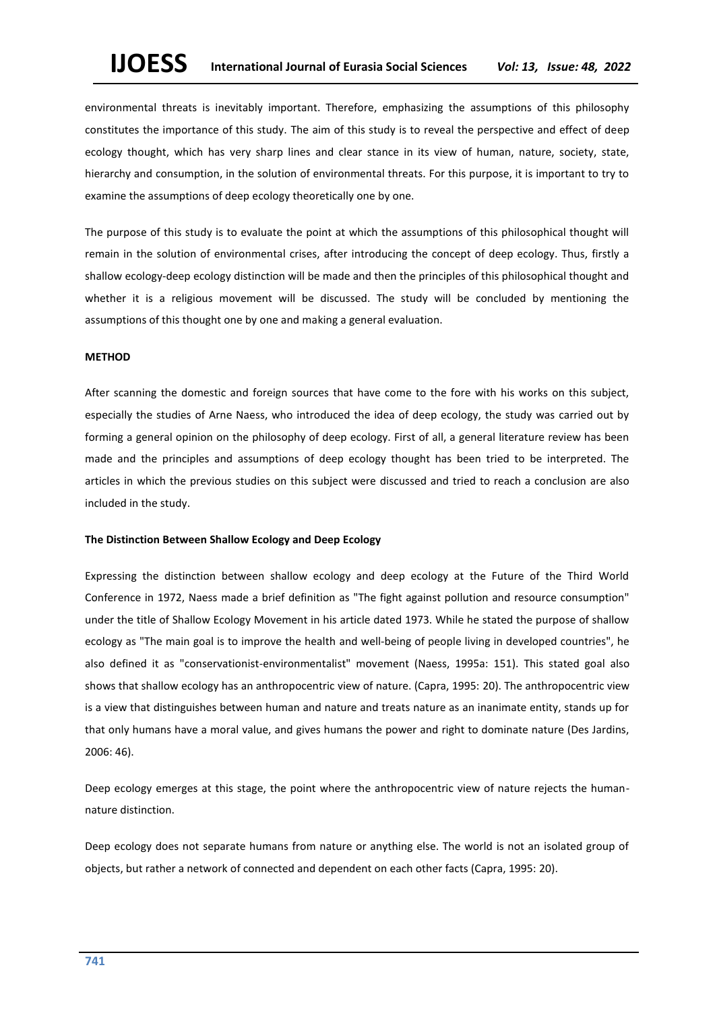environmental threats is inevitably important. Therefore, emphasizing the assumptions of this philosophy constitutes the importance of this study. The aim of this study is to reveal the perspective and effect of deep ecology thought, which has very sharp lines and clear stance in its view of human, nature, society, state, hierarchy and consumption, in the solution of environmental threats. For this purpose, it is important to try to examine the assumptions of deep ecology theoretically one by one.

The purpose of this study is to evaluate the point at which the assumptions of this philosophical thought will remain in the solution of environmental crises, after introducing the concept of deep ecology. Thus, firstly a shallow ecology-deep ecology distinction will be made and then the principles of this philosophical thought and whether it is a religious movement will be discussed. The study will be concluded by mentioning the assumptions of this thought one by one and making a general evaluation.

# **METHOD**

After scanning the domestic and foreign sources that have come to the fore with his works on this subject, especially the studies of Arne Naess, who introduced the idea of deep ecology, the study was carried out by forming a general opinion on the philosophy of deep ecology. First of all, a general literature review has been made and the principles and assumptions of deep ecology thought has been tried to be interpreted. The articles in which the previous studies on this subject were discussed and tried to reach a conclusion are also included in the study.

#### **The Distinction Between Shallow Ecology and Deep Ecology**

Expressing the distinction between shallow ecology and deep ecology at the Future of the Third World Conference in 1972, Naess made a brief definition as "The fight against pollution and resource consumption" under the title of Shallow Ecology Movement in his article dated 1973. While he stated the purpose of shallow ecology as "The main goal is to improve the health and well-being of people living in developed countries", he also defined it as "conservationist-environmentalist" movement (Naess, 1995a: 151). This stated goal also shows that shallow ecology has an anthropocentric view of nature. (Capra, 1995: 20). The anthropocentric view is a view that distinguishes between human and nature and treats nature as an inanimate entity, stands up for that only humans have a moral value, and gives humans the power and right to dominate nature (Des Jardins, 2006: 46).

Deep ecology emerges at this stage, the point where the anthropocentric view of nature rejects the humannature distinction.

Deep ecology does not separate humans from nature or anything else. The world is not an isolated group of objects, but rather a network of connected and dependent on each other facts (Capra, 1995: 20).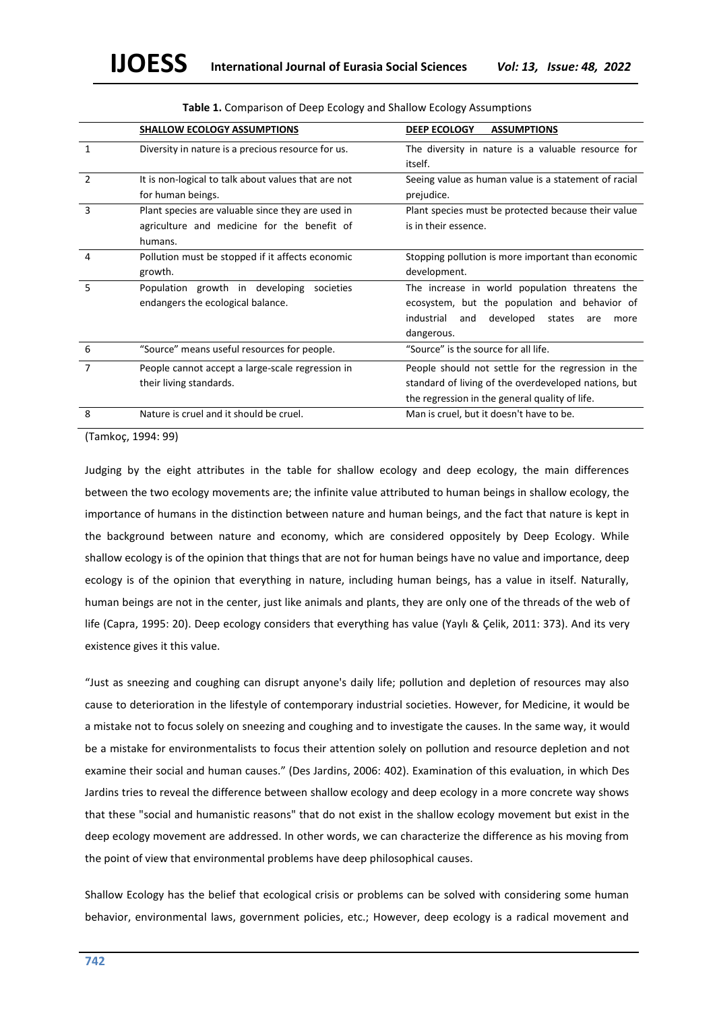|               | <b>SHALLOW ECOLOGY ASSUMPTIONS</b>                                                                          | <b>DEEP ECOLOGY</b><br><b>ASSUMPTIONS</b>                                                                                                                                |
|---------------|-------------------------------------------------------------------------------------------------------------|--------------------------------------------------------------------------------------------------------------------------------------------------------------------------|
| 1             | Diversity in nature is a precious resource for us.                                                          | The diversity in nature is a valuable resource for<br>itself.                                                                                                            |
| $\mathcal{P}$ | It is non-logical to talk about values that are not<br>for human beings.                                    | Seeing value as human value is a statement of racial<br>prejudice.                                                                                                       |
| 3             | Plant species are valuable since they are used in<br>agriculture and medicine for the benefit of<br>humans. | Plant species must be protected because their value<br>is in their essence.                                                                                              |
| 4             | Pollution must be stopped if it affects economic<br>growth.                                                 | Stopping pollution is more important than economic<br>development.                                                                                                       |
| 5             | Population growth in developing<br>societies<br>endangers the ecological balance.                           | The increase in world population threatens the<br>ecosystem, but the population and behavior of<br>developed<br>industrial<br>states<br>and<br>are<br>more<br>dangerous. |
| 6             | "Source" means useful resources for people.                                                                 | "Source" is the source for all life.                                                                                                                                     |
| 7             | People cannot accept a large-scale regression in<br>their living standards.                                 | People should not settle for the regression in the<br>standard of living of the overdeveloped nations, but<br>the regression in the general quality of life.             |
| 8             | Nature is cruel and it should be cruel.                                                                     | Man is cruel, but it doesn't have to be.                                                                                                                                 |

# **Table 1.** Comparison of Deep Ecology and Shallow Ecology Assumptions

(Tamkoç, 1994: 99)

Judging by the eight attributes in the table for shallow ecology and deep ecology, the main differences between the two ecology movements are; the infinite value attributed to human beings in shallow ecology, the importance of humans in the distinction between nature and human beings, and the fact that nature is kept in the background between nature and economy, which are considered oppositely by Deep Ecology. While shallow ecology is of the opinion that things that are not for human beings have no value and importance, deep ecology is of the opinion that everything in nature, including human beings, has a value in itself. Naturally, human beings are not in the center, just like animals and plants, they are only one of the threads of the web of life (Capra, 1995: 20). Deep ecology considers that everything has value (Yaylı & Çelik, 2011: 373). And its very existence gives it this value.

"Just as sneezing and coughing can disrupt anyone's daily life; pollution and depletion of resources may also cause to deterioration in the lifestyle of contemporary industrial societies. However, for Medicine, it would be a mistake not to focus solely on sneezing and coughing and to investigate the causes. In the same way, it would be a mistake for environmentalists to focus their attention solely on pollution and resource depletion and not examine their social and human causes." (Des Jardins, 2006: 402). Examination of this evaluation, in which Des Jardins tries to reveal the difference between shallow ecology and deep ecology in a more concrete way shows that these "social and humanistic reasons" that do not exist in the shallow ecology movement but exist in the deep ecology movement are addressed. In other words, we can characterize the difference as his moving from the point of view that environmental problems have deep philosophical causes.

Shallow Ecology has the belief that ecological crisis or problems can be solved with considering some human behavior, environmental laws, government policies, etc.; However, deep ecology is a radical movement and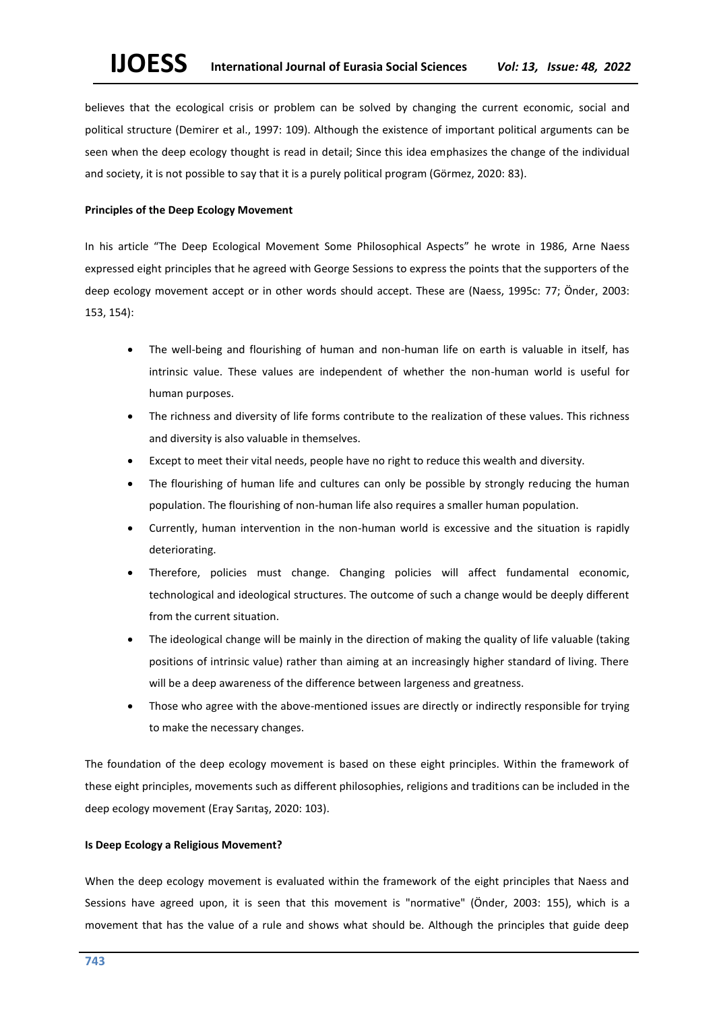believes that the ecological crisis or problem can be solved by changing the current economic, social and political structure (Demirer et al., 1997: 109). Although the existence of important political arguments can be seen when the deep ecology thought is read in detail; Since this idea emphasizes the change of the individual and society, it is not possible to say that it is a purely political program (Görmez, 2020: 83).

# **Principles of the Deep Ecology Movement**

In his article "The Deep Ecological Movement Some Philosophical Aspects" he wrote in 1986, Arne Naess expressed eight principles that he agreed with George Sessions to express the points that the supporters of the deep ecology movement accept or in other words should accept. These are (Naess, 1995c: 77; Önder, 2003: 153, 154):

- The well-being and flourishing of human and non-human life on earth is valuable in itself, has intrinsic value. These values are independent of whether the non-human world is useful for human purposes.
- The richness and diversity of life forms contribute to the realization of these values. This richness and diversity is also valuable in themselves.
- Except to meet their vital needs, people have no right to reduce this wealth and diversity.
- The flourishing of human life and cultures can only be possible by strongly reducing the human population. The flourishing of non-human life also requires a smaller human population.
- Currently, human intervention in the non-human world is excessive and the situation is rapidly deteriorating.
- Therefore, policies must change. Changing policies will affect fundamental economic, technological and ideological structures. The outcome of such a change would be deeply different from the current situation.
- The ideological change will be mainly in the direction of making the quality of life valuable (taking positions of intrinsic value) rather than aiming at an increasingly higher standard of living. There will be a deep awareness of the difference between largeness and greatness.
- Those who agree with the above-mentioned issues are directly or indirectly responsible for trying to make the necessary changes.

The foundation of the deep ecology movement is based on these eight principles. Within the framework of these eight principles, movements such as different philosophies, religions and traditions can be included in the deep ecology movement (Eray Sarıtaş, 2020: 103).

# **Is Deep Ecology a Religious Movement?**

When the deep ecology movement is evaluated within the framework of the eight principles that Naess and Sessions have agreed upon, it is seen that this movement is "normative" (Önder, 2003: 155), which is a movement that has the value of a rule and shows what should be. Although the principles that guide deep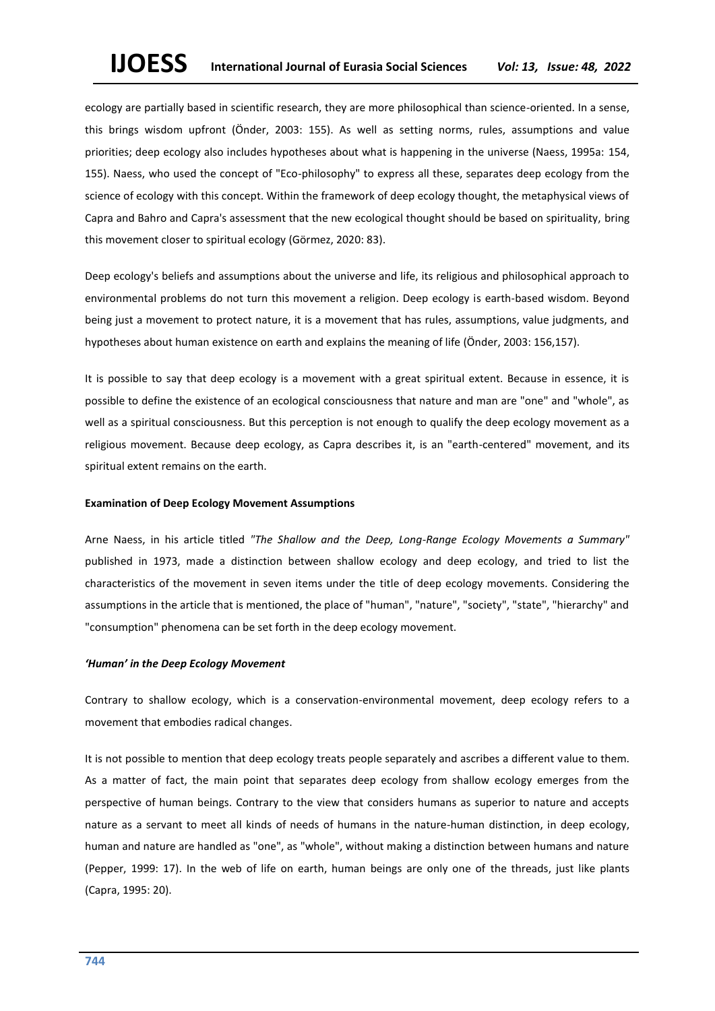ecology are partially based in scientific research, they are more philosophical than science-oriented. In a sense, this brings wisdom upfront (Önder, 2003: 155). As well as setting norms, rules, assumptions and value priorities; deep ecology also includes hypotheses about what is happening in the universe (Naess, 1995a: 154, 155). Naess, who used the concept of "Eco-philosophy" to express all these, separates deep ecology from the science of ecology with this concept. Within the framework of deep ecology thought, the metaphysical views of Capra and Bahro and Capra's assessment that the new ecological thought should be based on spirituality, bring this movement closer to spiritual ecology (Görmez, 2020: 83).

Deep ecology's beliefs and assumptions about the universe and life, its religious and philosophical approach to environmental problems do not turn this movement a religion. Deep ecology is earth-based wisdom. Beyond being just a movement to protect nature, it is a movement that has rules, assumptions, value judgments, and hypotheses about human existence on earth and explains the meaning of life (Önder, 2003: 156,157).

It is possible to say that deep ecology is a movement with a great spiritual extent. Because in essence, it is possible to define the existence of an ecological consciousness that nature and man are "one" and "whole", as well as a spiritual consciousness. But this perception is not enough to qualify the deep ecology movement as a religious movement. Because deep ecology, as Capra describes it, is an "earth-centered" movement, and its spiritual extent remains on the earth.

### **Examination of Deep Ecology Movement Assumptions**

Arne Naess, in his article titled *"The Shallow and the Deep, Long-Range Ecology Movements a Summary"* published in 1973, made a distinction between shallow ecology and deep ecology, and tried to list the characteristics of the movement in seven items under the title of deep ecology movements. Considering the assumptions in the article that is mentioned, the place of "human", "nature", "society", "state", "hierarchy" and "consumption" phenomena can be set forth in the deep ecology movement.

#### *'Human' in the Deep Ecology Movement*

Contrary to shallow ecology, which is a conservation-environmental movement, deep ecology refers to a movement that embodies radical changes.

It is not possible to mention that deep ecology treats people separately and ascribes a different value to them. As a matter of fact, the main point that separates deep ecology from shallow ecology emerges from the perspective of human beings. Contrary to the view that considers humans as superior to nature and accepts nature as a servant to meet all kinds of needs of humans in the nature-human distinction, in deep ecology, human and nature are handled as "one", as "whole", without making a distinction between humans and nature (Pepper, 1999: 17). In the web of life on earth, human beings are only one of the threads, just like plants (Capra, 1995: 20).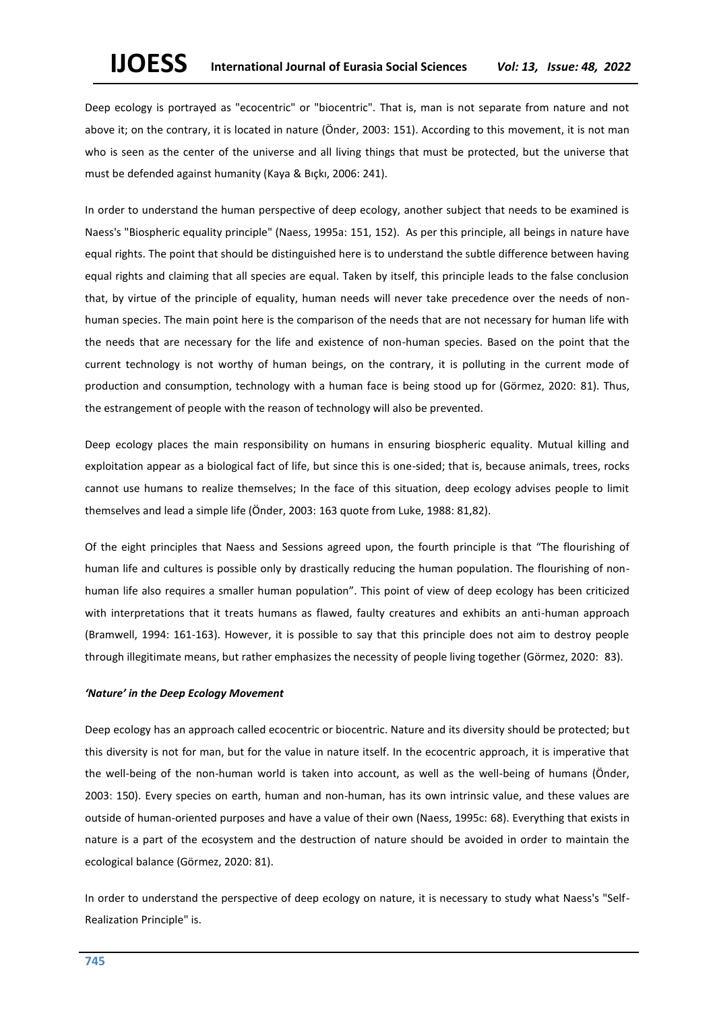Deep ecology is portrayed as "ecocentric" or "biocentric". That is, man is not separate from nature and not above it; on the contrary, it is located in nature (Önder, 2003: 151). According to this movement, it is not man who is seen as the center of the universe and all living things that must be protected, but the universe that must be defended against humanity (Kaya & Bıçkı, 2006: 241).

In order to understand the human perspective of deep ecology, another subject that needs to be examined is Naess's "Biospheric equality principle" (Naess, 1995a: 151, 152). As per this principle, all beings in nature have equal rights. The point that should be distinguished here is to understand the subtle difference between having equal rights and claiming that all species are equal. Taken by itself, this principle leads to the false conclusion that, by virtue of the principle of equality, human needs will never take precedence over the needs of nonhuman species. The main point here is the comparison of the needs that are not necessary for human life with the needs that are necessary for the life and existence of non-human species. Based on the point that the current technology is not worthy of human beings, on the contrary, it is polluting in the current mode of production and consumption, technology with a human face is being stood up for (Görmez, 2020: 81). Thus, the estrangement of people with the reason of technology will also be prevented.

Deep ecology places the main responsibility on humans in ensuring biospheric equality. Mutual killing and exploitation appear as a biological fact of life, but since this is one-sided; that is, because animals, trees, rocks cannot use humans to realize themselves; In the face of this situation, deep ecology advises people to limit themselves and lead a simple life (Önder, 2003: 163 quote from Luke, 1988: 81,82).

Of the eight principles that Naess and Sessions agreed upon, the fourth principle is that "The flourishing of human life and cultures is possible only by drastically reducing the human population. The flourishing of nonhuman life also requires a smaller human population". This point of view of deep ecology has been criticized with interpretations that it treats humans as flawed, faulty creatures and exhibits an anti-human approach (Bramwell, 1994: 161-163). However, it is possible to say that this principle does not aim to destroy people through illegitimate means, but rather emphasizes the necessity of people living together (Görmez, 2020: 83).

# *'Nature' in the Deep Ecology Movement*

Deep ecology has an approach called ecocentric or biocentric. Nature and its diversity should be protected; but this diversity is not for man, but for the value in nature itself. In the ecocentric approach, it is imperative that the well-being of the non-human world is taken into account, as well as the well-being of humans (Önder, 2003: 150). Every species on earth, human and non-human, has its own intrinsic value, and these values are outside of human-oriented purposes and have a value of their own (Naess, 1995c: 68). Everything that exists in nature is a part of the ecosystem and the destruction of nature should be avoided in order to maintain the ecological balance (Görmez, 2020: 81).

In order to understand the perspective of deep ecology on nature, it is necessary to study what Naess's "Self-Realization Principle" is.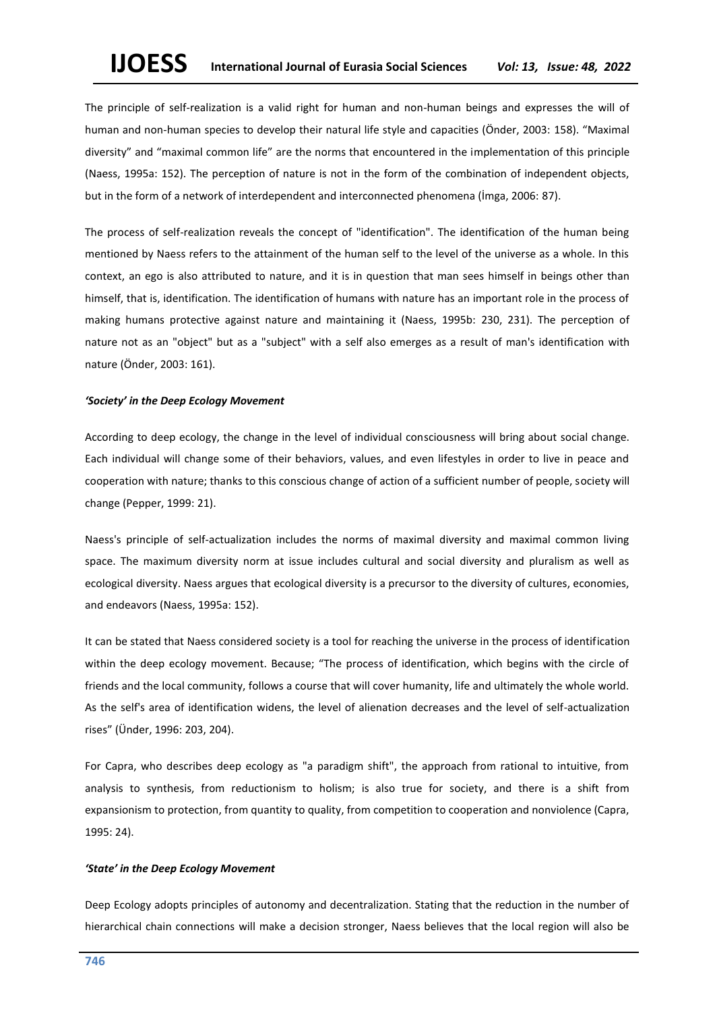The principle of self-realization is a valid right for human and non-human beings and expresses the will of human and non-human species to develop their natural life style and capacities (Önder, 2003: 158). "Maximal diversity" and "maximal common life" are the norms that encountered in the implementation of this principle (Naess, 1995a: 152). The perception of nature is not in the form of the combination of independent objects, but in the form of a network of interdependent and interconnected phenomena (İmga, 2006: 87).

The process of self-realization reveals the concept of "identification". The identification of the human being mentioned by Naess refers to the attainment of the human self to the level of the universe as a whole. In this context, an ego is also attributed to nature, and it is in question that man sees himself in beings other than himself, that is, identification. The identification of humans with nature has an important role in the process of making humans protective against nature and maintaining it (Naess, 1995b: 230, 231). The perception of nature not as an "object" but as a "subject" with a self also emerges as a result of man's identification with nature (Önder, 2003: 161).

# *'Society' in the Deep Ecology Movement*

According to deep ecology, the change in the level of individual consciousness will bring about social change. Each individual will change some of their behaviors, values, and even lifestyles in order to live in peace and cooperation with nature; thanks to this conscious change of action of a sufficient number of people, society will change (Pepper, 1999: 21).

Naess's principle of self-actualization includes the norms of maximal diversity and maximal common living space. The maximum diversity norm at issue includes cultural and social diversity and pluralism as well as ecological diversity. Naess argues that ecological diversity is a precursor to the diversity of cultures, economies, and endeavors (Naess, 1995a: 152).

It can be stated that Naess considered society is a tool for reaching the universe in the process of identification within the deep ecology movement. Because; "The process of identification, which begins with the circle of friends and the local community, follows a course that will cover humanity, life and ultimately the whole world. As the self's area of identification widens, the level of alienation decreases and the level of self-actualization rises" (Ünder, 1996: 203, 204).

For Capra, who describes deep ecology as "a paradigm shift", the approach from rational to intuitive, from analysis to synthesis, from reductionism to holism; is also true for society, and there is a shift from expansionism to protection, from quantity to quality, from competition to cooperation and nonviolence (Capra, 1995: 24).

# *'State' in the Deep Ecology Movement*

Deep Ecology adopts principles of autonomy and decentralization. Stating that the reduction in the number of hierarchical chain connections will make a decision stronger, Naess believes that the local region will also be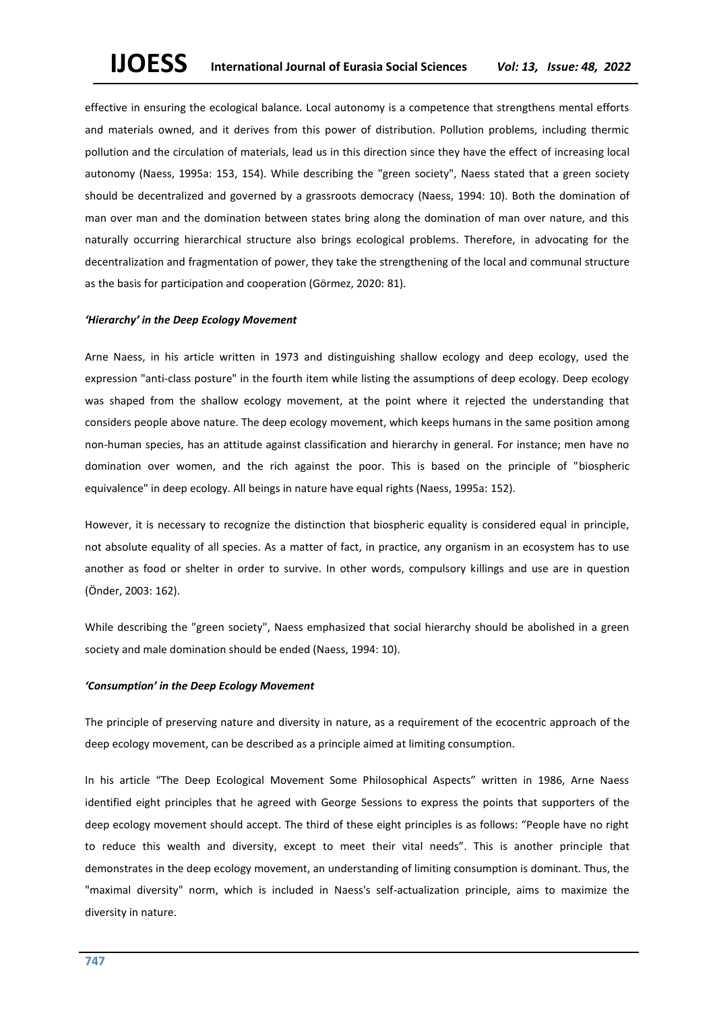effective in ensuring the ecological balance. Local autonomy is a competence that strengthens mental efforts and materials owned, and it derives from this power of distribution. Pollution problems, including thermic pollution and the circulation of materials, lead us in this direction since they have the effect of increasing local autonomy (Naess, 1995a: 153, 154). While describing the "green society", Naess stated that a green society should be decentralized and governed by a grassroots democracy (Naess, 1994: 10). Both the domination of man over man and the domination between states bring along the domination of man over nature, and this naturally occurring hierarchical structure also brings ecological problems. Therefore, in advocating for the decentralization and fragmentation of power, they take the strengthening of the local and communal structure as the basis for participation and cooperation (Görmez, 2020: 81).

# *'Hierarchy' in the Deep Ecology Movement*

Arne Naess, in his article written in 1973 and distinguishing shallow ecology and deep ecology, used the expression "anti-class posture" in the fourth item while listing the assumptions of deep ecology. Deep ecology was shaped from the shallow ecology movement, at the point where it rejected the understanding that considers people above nature. The deep ecology movement, which keeps humans in the same position among non-human species, has an attitude against classification and hierarchy in general. For instance; men have no domination over women, and the rich against the poor. This is based on the principle of "biospheric equivalence" in deep ecology. All beings in nature have equal rights (Naess, 1995a: 152).

However, it is necessary to recognize the distinction that biospheric equality is considered equal in principle, not absolute equality of all species. As a matter of fact, in practice, any organism in an ecosystem has to use another as food or shelter in order to survive. In other words, compulsory killings and use are in question (Önder, 2003: 162).

While describing the "green society", Naess emphasized that social hierarchy should be abolished in a green society and male domination should be ended (Naess, 1994: 10).

#### *'Consumption' in the Deep Ecology Movement*

The principle of preserving nature and diversity in nature, as a requirement of the ecocentric approach of the deep ecology movement, can be described as a principle aimed at limiting consumption.

In his article "The Deep Ecological Movement Some Philosophical Aspects" written in 1986, Arne Naess identified eight principles that he agreed with George Sessions to express the points that supporters of the deep ecology movement should accept. The third of these eight principles is as follows: "People have no right to reduce this wealth and diversity, except to meet their vital needs". This is another principle that demonstrates in the deep ecology movement, an understanding of limiting consumption is dominant. Thus, the "maximal diversity" norm, which is included in Naess's self-actualization principle, aims to maximize the diversity in nature.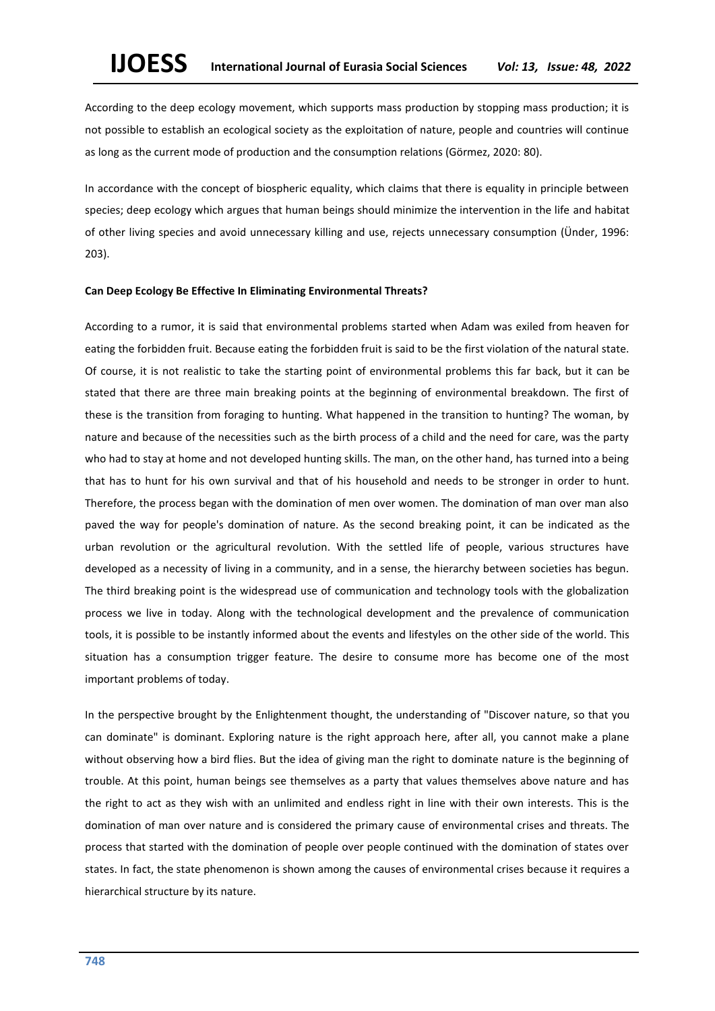According to the deep ecology movement, which supports mass production by stopping mass production; it is not possible to establish an ecological society as the exploitation of nature, people and countries will continue as long as the current mode of production and the consumption relations (Görmez, 2020: 80).

In accordance with the concept of biospheric equality, which claims that there is equality in principle between species; deep ecology which argues that human beings should minimize the intervention in the life and habitat of other living species and avoid unnecessary killing and use, rejects unnecessary consumption (Ünder, 1996: 203).

### **Can Deep Ecology Be Effective In Eliminating Environmental Threats?**

According to a rumor, it is said that environmental problems started when Adam was exiled from heaven for eating the forbidden fruit. Because eating the forbidden fruit is said to be the first violation of the natural state. Of course, it is not realistic to take the starting point of environmental problems this far back, but it can be stated that there are three main breaking points at the beginning of environmental breakdown. The first of these is the transition from foraging to hunting. What happened in the transition to hunting? The woman, by nature and because of the necessities such as the birth process of a child and the need for care, was the party who had to stay at home and not developed hunting skills. The man, on the other hand, has turned into a being that has to hunt for his own survival and that of his household and needs to be stronger in order to hunt. Therefore, the process began with the domination of men over women. The domination of man over man also paved the way for people's domination of nature. As the second breaking point, it can be indicated as the urban revolution or the agricultural revolution. With the settled life of people, various structures have developed as a necessity of living in a community, and in a sense, the hierarchy between societies has begun. The third breaking point is the widespread use of communication and technology tools with the globalization process we live in today. Along with the technological development and the prevalence of communication tools, it is possible to be instantly informed about the events and lifestyles on the other side of the world. This situation has a consumption trigger feature. The desire to consume more has become one of the most important problems of today.

In the perspective brought by the Enlightenment thought, the understanding of "Discover nature, so that you can dominate" is dominant. Exploring nature is the right approach here, after all, you cannot make a plane without observing how a bird flies. But the idea of giving man the right to dominate nature is the beginning of trouble. At this point, human beings see themselves as a party that values themselves above nature and has the right to act as they wish with an unlimited and endless right in line with their own interests. This is the domination of man over nature and is considered the primary cause of environmental crises and threats. The process that started with the domination of people over people continued with the domination of states over states. In fact, the state phenomenon is shown among the causes of environmental crises because it requires a hierarchical structure by its nature.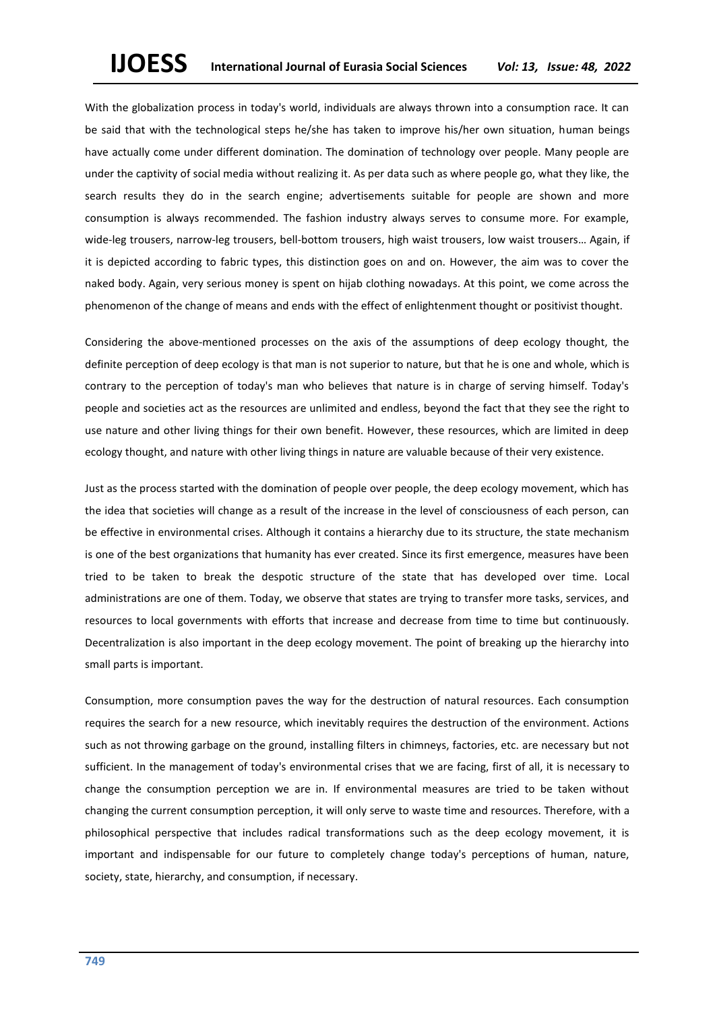With the globalization process in today's world, individuals are always thrown into a consumption race. It can be said that with the technological steps he/she has taken to improve his/her own situation, human beings have actually come under different domination. The domination of technology over people. Many people are under the captivity of social media without realizing it. As per data such as where people go, what they like, the search results they do in the search engine; advertisements suitable for people are shown and more consumption is always recommended. The fashion industry always serves to consume more. For example, wide-leg trousers, narrow-leg trousers, bell-bottom trousers, high waist trousers, low waist trousers… Again, if it is depicted according to fabric types, this distinction goes on and on. However, the aim was to cover the naked body. Again, very serious money is spent on hijab clothing nowadays. At this point, we come across the phenomenon of the change of means and ends with the effect of enlightenment thought or positivist thought.

Considering the above-mentioned processes on the axis of the assumptions of deep ecology thought, the definite perception of deep ecology is that man is not superior to nature, but that he is one and whole, which is contrary to the perception of today's man who believes that nature is in charge of serving himself. Today's people and societies act as the resources are unlimited and endless, beyond the fact that they see the right to use nature and other living things for their own benefit. However, these resources, which are limited in deep ecology thought, and nature with other living things in nature are valuable because of their very existence.

Just as the process started with the domination of people over people, the deep ecology movement, which has the idea that societies will change as a result of the increase in the level of consciousness of each person, can be effective in environmental crises. Although it contains a hierarchy due to its structure, the state mechanism is one of the best organizations that humanity has ever created. Since its first emergence, measures have been tried to be taken to break the despotic structure of the state that has developed over time. Local administrations are one of them. Today, we observe that states are trying to transfer more tasks, services, and resources to local governments with efforts that increase and decrease from time to time but continuously. Decentralization is also important in the deep ecology movement. The point of breaking up the hierarchy into small parts is important.

Consumption, more consumption paves the way for the destruction of natural resources. Each consumption requires the search for a new resource, which inevitably requires the destruction of the environment. Actions such as not throwing garbage on the ground, installing filters in chimneys, factories, etc. are necessary but not sufficient. In the management of today's environmental crises that we are facing, first of all, it is necessary to change the consumption perception we are in. If environmental measures are tried to be taken without changing the current consumption perception, it will only serve to waste time and resources. Therefore, with a philosophical perspective that includes radical transformations such as the deep ecology movement, it is important and indispensable for our future to completely change today's perceptions of human, nature, society, state, hierarchy, and consumption, if necessary.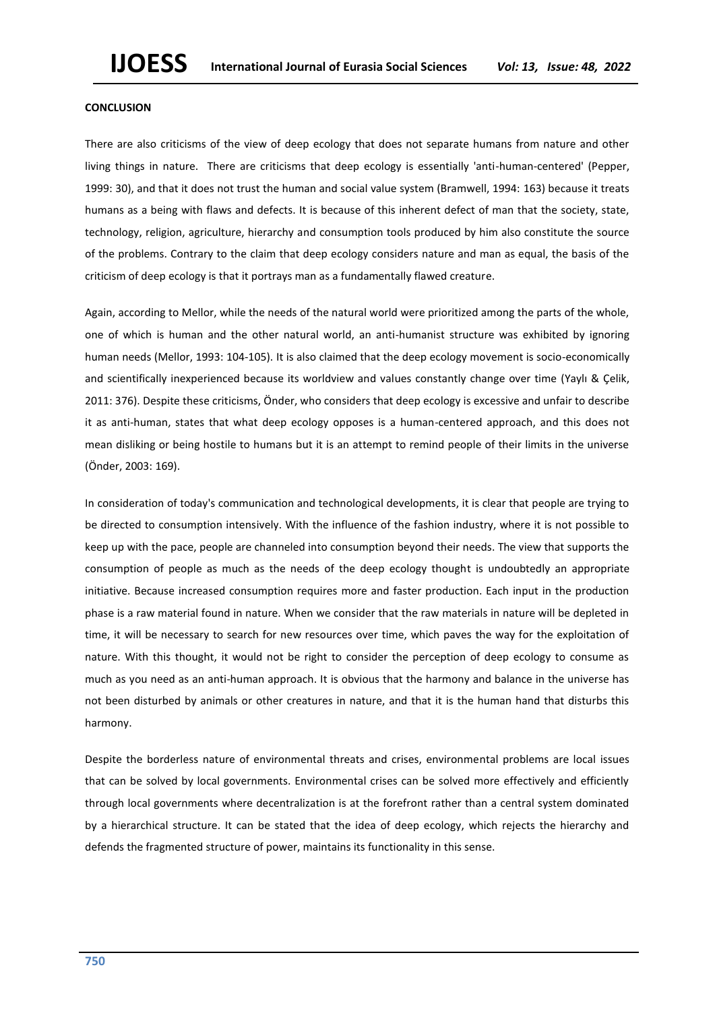#### **CONCLUSION**

There are also criticisms of the view of deep ecology that does not separate humans from nature and other living things in nature. There are criticisms that deep ecology is essentially 'anti-human-centered' (Pepper, 1999: 30), and that it does not trust the human and social value system (Bramwell, 1994: 163) because it treats humans as a being with flaws and defects. It is because of this inherent defect of man that the society, state, technology, religion, agriculture, hierarchy and consumption tools produced by him also constitute the source of the problems. Contrary to the claim that deep ecology considers nature and man as equal, the basis of the criticism of deep ecology is that it portrays man as a fundamentally flawed creature.

Again, according to Mellor, while the needs of the natural world were prioritized among the parts of the whole, one of which is human and the other natural world, an anti-humanist structure was exhibited by ignoring human needs (Mellor, 1993: 104-105). It is also claimed that the deep ecology movement is socio-economically and scientifically inexperienced because its worldview and values constantly change over time (Yaylı & Çelik, 2011: 376). Despite these criticisms, Önder, who considers that deep ecology is excessive and unfair to describe it as anti-human, states that what deep ecology opposes is a human-centered approach, and this does not mean disliking or being hostile to humans but it is an attempt to remind people of their limits in the universe (Önder, 2003: 169).

In consideration of today's communication and technological developments, it is clear that people are trying to be directed to consumption intensively. With the influence of the fashion industry, where it is not possible to keep up with the pace, people are channeled into consumption beyond their needs. The view that supports the consumption of people as much as the needs of the deep ecology thought is undoubtedly an appropriate initiative. Because increased consumption requires more and faster production. Each input in the production phase is a raw material found in nature. When we consider that the raw materials in nature will be depleted in time, it will be necessary to search for new resources over time, which paves the way for the exploitation of nature. With this thought, it would not be right to consider the perception of deep ecology to consume as much as you need as an anti-human approach. It is obvious that the harmony and balance in the universe has not been disturbed by animals or other creatures in nature, and that it is the human hand that disturbs this harmony.

Despite the borderless nature of environmental threats and crises, environmental problems are local issues that can be solved by local governments. Environmental crises can be solved more effectively and efficiently through local governments where decentralization is at the forefront rather than a central system dominated by a hierarchical structure. It can be stated that the idea of deep ecology, which rejects the hierarchy and defends the fragmented structure of power, maintains its functionality in this sense.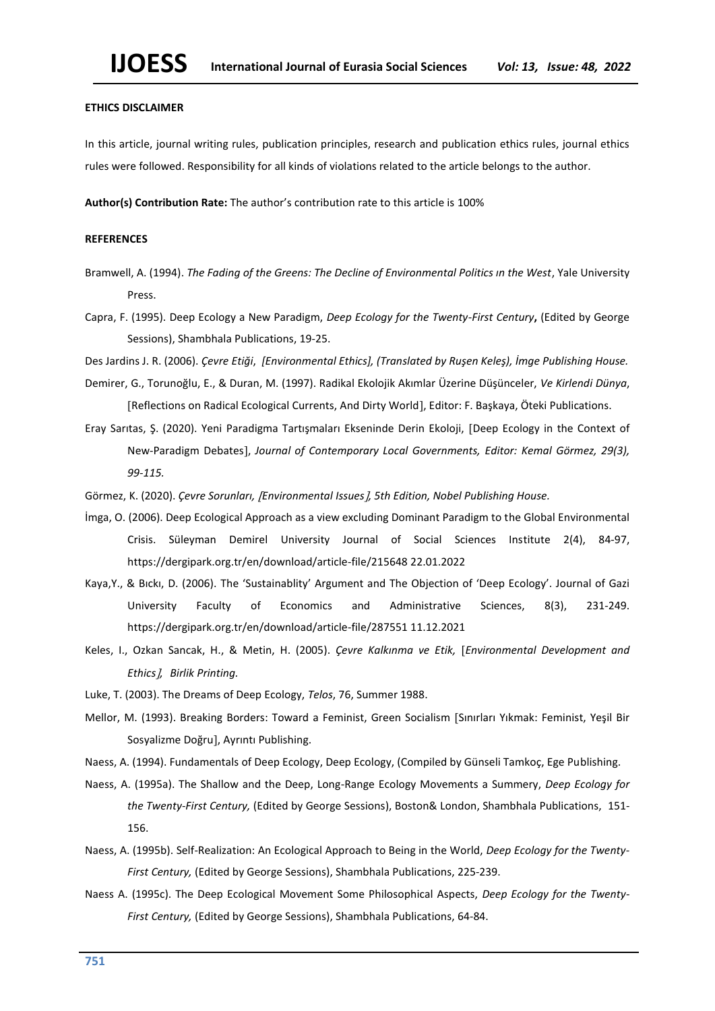# **ETHICS DISCLAIMER**

In this article, journal writing rules, publication principles, research and publication ethics rules, journal ethics rules were followed. Responsibility for all kinds of violations related to the article belongs to the author.

**Author(s) Contribution Rate:** The author's contribution rate to this article is 100%

# **REFERENCES**

- Bramwell, A. (1994). *The Fading of the Greens: The Decline of Environmental Politics ın the West*, Yale University Press.
- Capra, F. (1995). Deep Ecology a New Paradigm, *Deep Ecology for the Twenty-First Century***,** (Edited by George Sessions), Shambhala Publications, 19-25.
- Des Jardins J. R. (2006). *Çevre Etiği*, *[Environmental Ethics], (Translated by Ruşen Keleş), İmge Publishing House.*
- Demirer, G., Torunoğlu, E., & Duran, M. (1997). Radikal Ekolojik Akımlar Üzerine Düşünceler, *Ve Kirlendi Dünya*, Reflections on Radical Ecological Currents, And Dirty World, Editor: F. Başkaya, Öteki Publications.
- Eray Sarıtas, Ş. (2020). Yeni Paradigma Tartışmaları Ekseninde Derin Ekoloji, Deep Ecology in the Context of New-Paradigm Debates, *Journal of Contemporary Local Governments, Editor: Kemal Görmez, 29(3), 99-115.*
- Görmez, K. (2020). *Çevre Sorunları, Environmental Issues, 5th Edition, Nobel Publishing House.*
- İmga, O. (2006). Deep Ecological Approach as a view excluding Dominant Paradigm to the Global Environmental Crisis. Süleyman Demirel University Journal of Social Sciences Institute 2(4), 84-97, <https://dergipark.org.tr/en/download/article-file/215648> 22.01.2022
- Kaya,Y., & Bıckı, D. (2006). The 'Sustainablity' Argument and The Objection of 'Deep Ecology'. Journal of Gazi University Faculty of Economics and Administrative Sciences, 8(3), 231-249. <https://dergipark.org.tr/en/download/article-file/287551> 11.12.2021
- Keles, I., Ozkan Sancak, H., & Metin, H. (2005). *Çevre Kalkınma ve Etik, Environmental Development and Ethics, Birlik Printing.*
- Luke, T. (2003). The Dreams of Deep Ecology, *Telos*, 76, Summer 1988.
- Mellor, M. (1993). Breaking Borders: Toward a Feminist, Green Socialism [Sınırları Yıkmak: Feminist, Yeşil Bir Sosyalizme Doğru], Ayrıntı Publishing.
- Naess, A. (1994). Fundamentals of Deep Ecology, Deep Ecology, (Compiled by Günseli Tamkoç, Ege Publishing.
- Naess, A. (1995a). The Shallow and the Deep, Long-Range Ecology Movements a Summery, *Deep Ecology for the Twenty-First Century,* (Edited by George Sessions), Boston& London, Shambhala Publications, 151- 156.
- Naess, A. (1995b). Self-Realization: An Ecological Approach to Being in the World, *Deep Ecology for the Twenty-First Century,* (Edited by George Sessions), Shambhala Publications, 225-239.
- Naess A. (1995c). The Deep Ecological Movement Some Philosophical Aspects, *Deep Ecology for the Twenty-First Century,* (Edited by George Sessions), Shambhala Publications, 64-84.